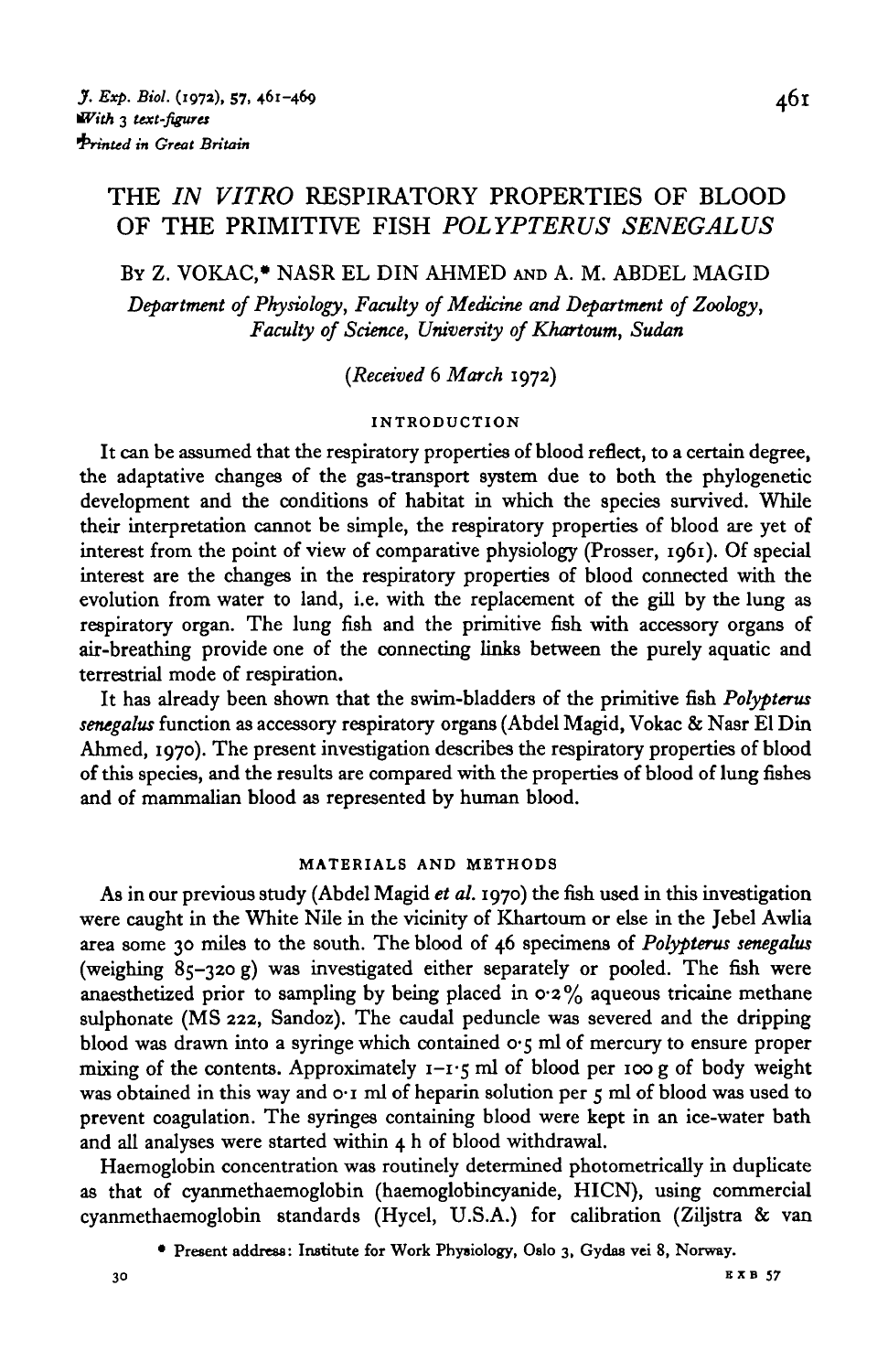# THE *IN VITRO* RESPIRATORY PROPERTIES OF BLOOD OF THE PRIMITIVE FISH *POLYPTERUS SENEGALUS*

BY Z. VOKAC,\* NASR EL DIN AHMED AND A. M. ABDEL MAGID

*Department of Physiology, Faculty of Medicine and Department of Zoology, Faculty of Science, University of Khartoum, Sudan*

## *{Received* 6 *March* 1972)

## **INTRODUCTION**

It can be assumed that the respiratory properties of blood reflect, to a certain degree, the adaptative changes of the gas-transport system due to both the phylogenetic development and the conditions of habitat in which the species survived. While their interpretation cannot be simple, the respiratory properties of blood are yet of interest from the point of view of comparative physiology (Prosser, 1961). Of special interest are the changes in the respiratory properties of blood connected with the evolution from water to land, i.e. with the replacement of the gill by the lung as respiratory organ. The lung fish and the primitive fish with accessory organs of air-breathing provide one of the connecting links between the purely aquatic and terrestrial mode of respiration.

It has already been shown that the swim-bladders of the primitive fish *Polypterus senegalus* function as accessory respiratory organs (Abdel Magid, Vokac & Nasr El Din Ahmed, 1970). The present investigation describes the respiratory properties of blood of this species, and the results are compared with the properties of blood of lung fishes and of mammalian blood as represented by human blood.

#### **MATERIALS AND METHODS**

As in our previous study (Abdel Magid *et al.* 1970) the fish used in this investigation were caught in the White Nile in the vicinity of Khartoum or else in the Jebel Awlia area some 30 miles to the south. The blood of 46 specimens of *Polypterus senegalus* (weighing 85-320 g) was investigated either separately or pooled. The fish were anaesthetized prior to sampling by being placed in  $0.2\%$  aqueous tricaine methane sulphonate (MS 222, Sandoz). The caudal peduncle was severed and the dripping blood was drawn into a syringe which contained  $\sigma$ -5 ml of mercury to ensure proper mixing of the contents. Approximately  $1 - i$ -5 ml of blood per 100 g of body weight was obtained in this way and  $\sigma$ -I ml of heparin solution per  $\zeta$  ml of blood was used to prevent coagulation. The syringes containing blood were kept in an ice-water bath and all analyses were started within 4 h of blood withdrawal.

Haemoglobin concentration was routinely determined photometrically in duplicate as that of cyanmethaemoglobin (haemoglobincyanide, HICN), using commercial cyanmethaemoglobin standards (Hycel, U.S.A.) for calibration (Ziljstra & van

<sup>•</sup> Present address: Institute for Work Physiology, Oslo 3, Gydas vei 8, Norway.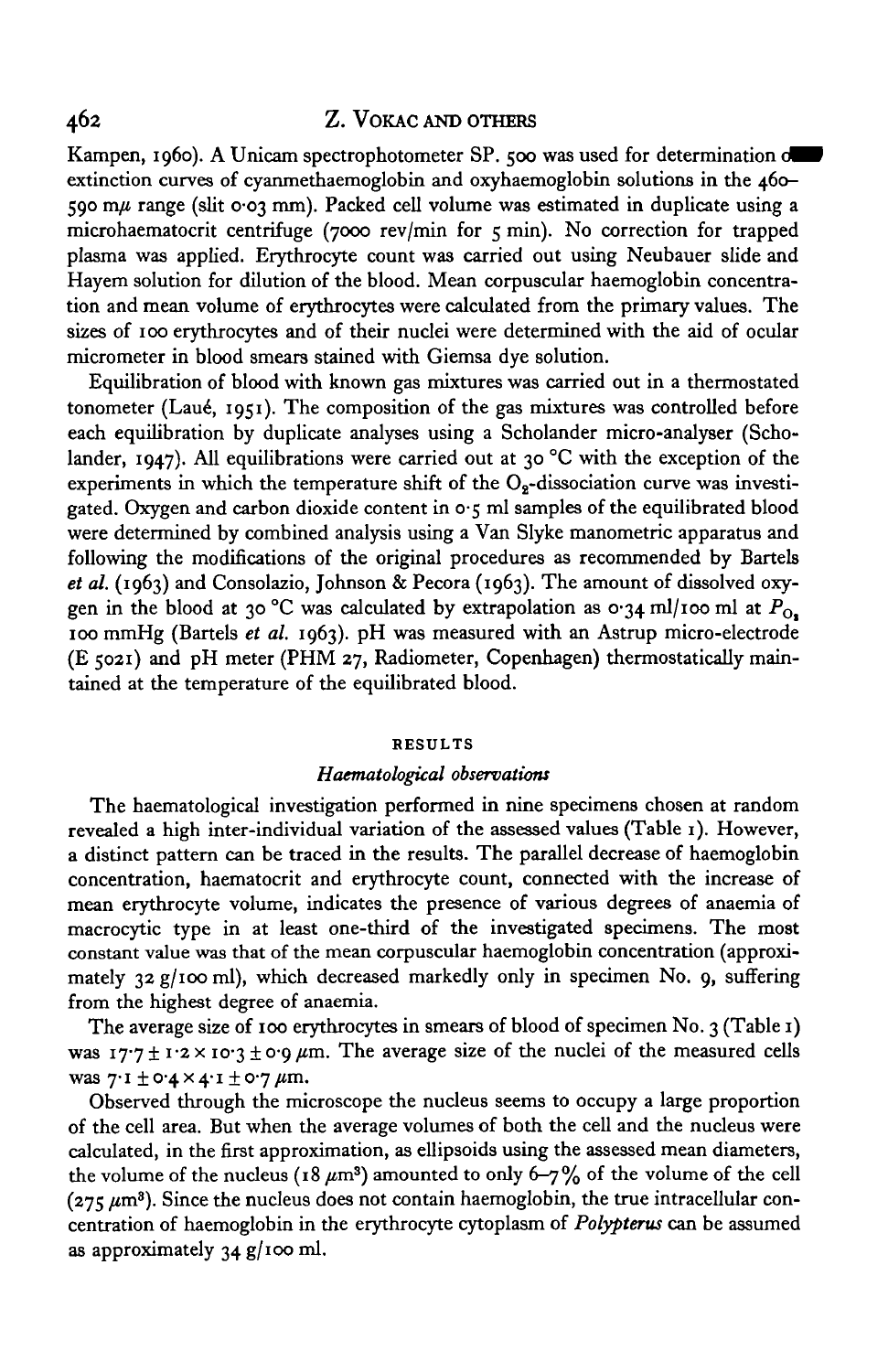# 462 Z. VOKAC AND OTHERS

Kampen, 1960). A Unicam spectrophotometer SP. 500 was used for determination on extinction curves of cyanmethaemoglobin and oxyhaemoglobin solutions in the 460- 590 m $\mu$  range (slit 0.03 mm). Packed cell volume was estimated in duplicate using a microhaematocrit centrifuge (7000 rev/min for 5 min). No correction for trapped plasma was applied. Erythrocyte count was carried out using Neubauer slide and Hayem solution for dilution of the blood. Mean corpuscular haemoglobin concentration and mean volume of erythrocytes were calculated from the primary values. The sizes of 100 erythrocytes and of their nuclei were determined with the aid of ocular micrometer in blood smears stained with Giemsa dye solution.

Equilibration of blood with known gas mixtures was carried out in a thermostated tonometer (Laud, 1951). The composition of the gas mixtures was controlled before each equilibration by duplicate analyses using a Scholander micro-analyser (Scholander, 1947). All equilibrations were carried out at 30 °C with the exception of the experiments in which the temperature shift of the  $O<sub>2</sub>$ -dissociation curve was investigated. Oxygen and carbon dioxide content in  $o \cdot \varsigma$  ml samples of the equilibrated blood were determined by combined analysis using a Van Slyke manometric apparatus and following the modifications of the original procedures as recommended by Bartels *et al.* (1963) and Consolazio, Johnson & Pecora (1963). The amount of dissolved oxygen in the blood at 30 °C was calculated by extrapolation as 0.34 ml/100 ml at  $P_{\Omega}$ , 100 mmHg (Bartels *et al.* 1963). pH was measured with an Astrup micro-electrode (E 5021) and pH meter (PHM 27, Radiometer, Copenhagen) thermostatically maintained at the temperature of the equilibrated blood.

#### **RESULTS**

### *Haematological observations*

The haematological investigation performed in nine specimens chosen at random revealed a high inter-individual variation of the assessed values (Table 1). However, a distinct pattern can be traced in the results. The parallel decrease of haemoglobin concentration, haematocrit and erythrocyte count, connected with the increase of mean erythrocyte volume, indicates the presence of various degrees of anaemia of macrocytic type in at least one-third of the investigated specimens. The most constant value was that of the mean corpuscular haemoglobin concentration (approximately 32 g/100 ml), which decreased markedly only in specimen No. 9, suffering from the highest degree of anaemia.

The average size of 100 erythrocytes in smears of blood of specimen No. 3 (Table 1) was  $17.7 \pm 1.2 \times 10.3 \pm 0.9 \mu m$ . The average size of the nuclei of the measured cells was  $7 \cdot 1 \pm 0.4 \times 4 \cdot 1 \pm 0.7$   $\mu$ m.

Observed through the microscope the nucleus seems to occupy a large proportion of the cell area. But when the average volumes of both the cell and the nucleus were calculated, in the first approximation, as ellipsoids using the assessed mean diameters, the volume of the nucleus (18  $\mu$ m<sup>3</sup>) amounted to only 6-7% of the volume of the cell  $(275 \ \mu m^3)$ . Since the nucleus does not contain haemoglobin, the true intracellular concentration of haemoglobin in the erythrocyte cytoplasm of *Polypterus* can be assumed as approximately  $34$  g/100 ml.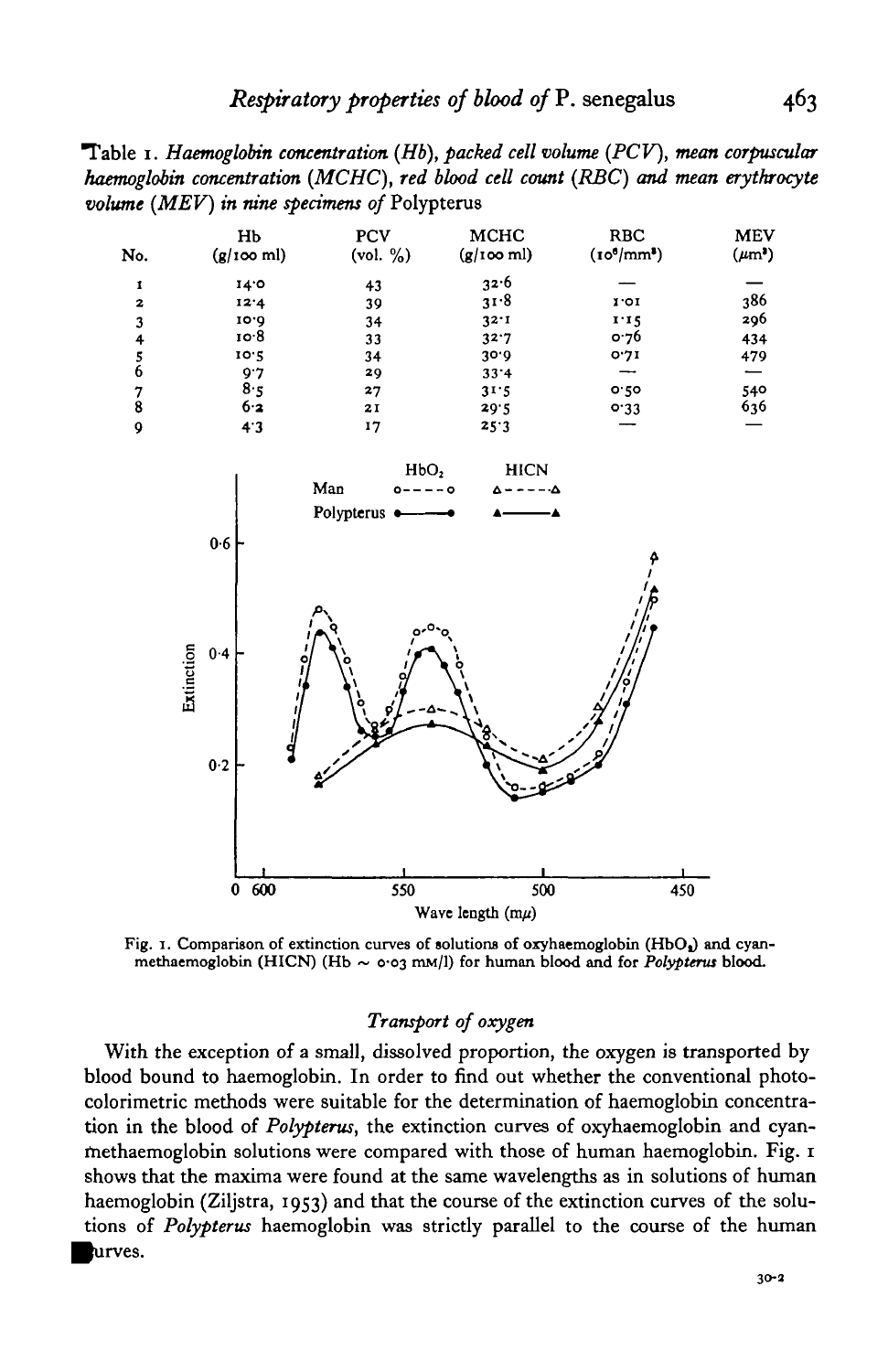Table 1. *Haemoglobin concentration (Hb), packed cell volume (PCV), mean corpuscular haemoglobm concentration (MCHC), red blood cell count (RBC) and mean erythrocyte volume (MEV) in nine specimens of* Polypterus



Fig. 1. Comparison of extinction curves of solutions of oxyhaemoglobin (HbO<sub>a</sub>) and cyan-<br>methaemoglobin (HICN) (Hb ~ 0.03 mM/l) for human blood and for *Polypterus* blood.

# *Transport of oxygen*

With the exception of a small, dissolved proportion, the oxygen is transported by blood bound to haemoglobin. In order to find out whether the conventional photocolorimetric methods were suitable for the determination of haemoglobin concentration in the blood of *Polypterus,* the extinction curves of oxyhaemoglobin and cyanmethaemoglobin solutions were compared with those of human haemoglobin. Fig. 1 shows that the maxima were found at the same wavelengths as in solutions of human haemoglobin (Ziljstra, 1953) and that the course of the extinction curves of the solutions of *Polypterus* haemoglobin was strictly parallel to the course of the human ^urves.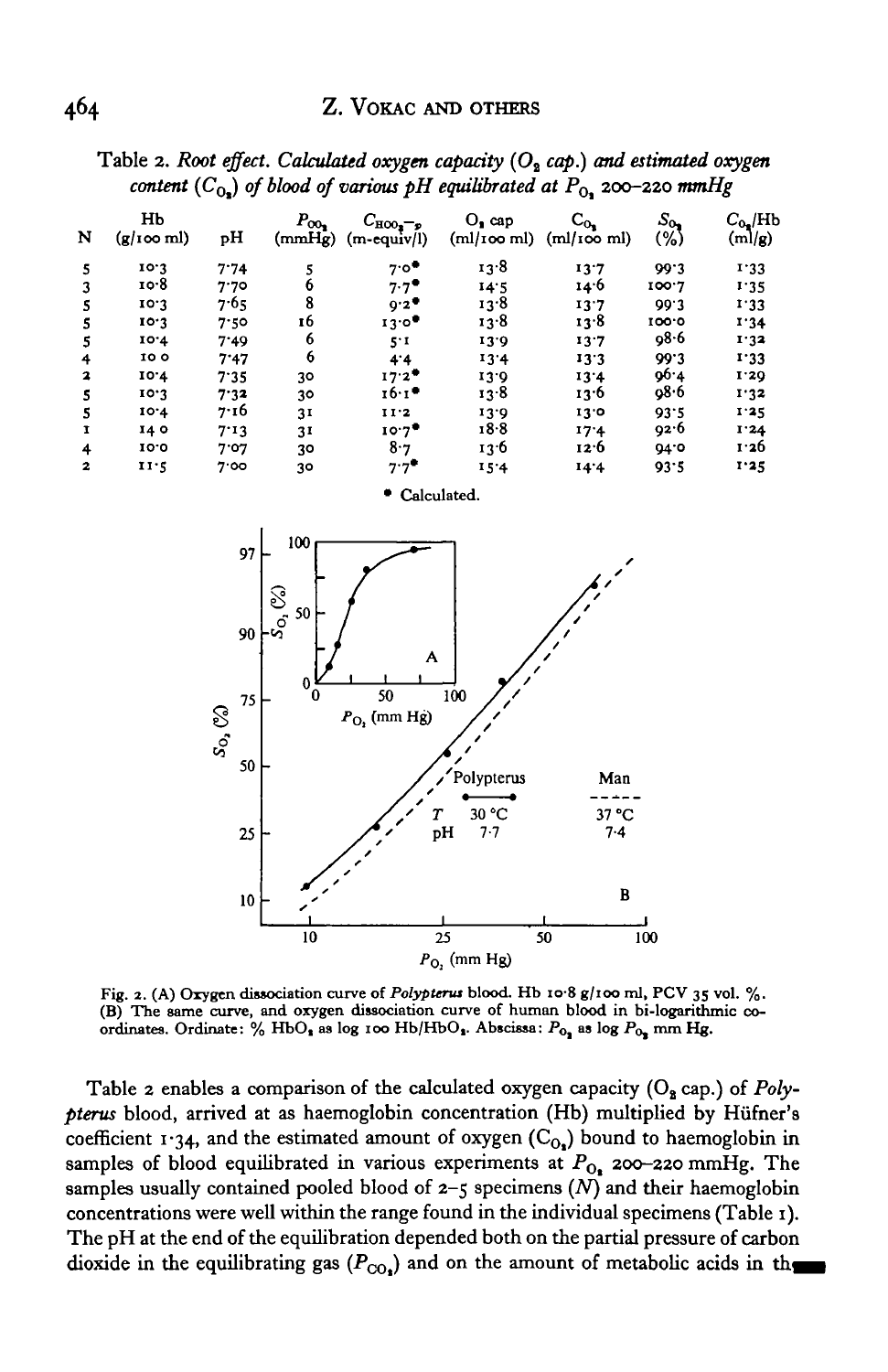|   |                  | - - - |                          |                                                     |                                | --                     |                |                      |
|---|------------------|-------|--------------------------|-----------------------------------------------------|--------------------------------|------------------------|----------------|----------------------|
| N | HЬ<br>(g/100 ml) | pН    | $P_{\rm CO_2}$<br>(mmHg) | $C_{\text{HOO}_3-p}$<br>$(m\text{-}\text{equiv}/l)$ | $O_2$ cap<br>$m$ / $\infty$ ml | $C_{0}$<br>(ml/100 ml) | $S_{0}$<br>(%) | $C_{0}$ /Hb<br>(m/g) |
| 5 | 10.3             | 7.74  | 5                        | 7.0                                                 | 13.8                           | 13.7                   | 99.3           | 1.33                 |
|   | 10.8             | 7.70  | 6                        | $7.7^{\bullet}$                                     | 14.5                           | 14.6                   | 100.7          | 1.35                 |
| 5 | 10.3             | 7.65  | 8                        | 9.2                                                 | 13.8                           | 13.7                   | 99.3           | 1.33                 |
| 5 | 10.3             | 7.50  | 16                       | 13.0                                                | 13.8                           | 13.8                   | 100.0          | 1.34                 |
|   | 10.4             | 7.49  | 6                        | 5.1                                                 | 13.9                           | 13.7                   | 98.6           | 1.32                 |
| 4 | 10 O             | 7.47  | 6                        | 4.4                                                 | 13.4                           | 13.3                   | 99.3           | 1.33                 |
| 2 | 10.4             | 7.35  | 30                       | 17.2                                                | 13.0                           | 13.4                   | 96.4           | 1.29                 |
| 5 | 10.3             | 7.32  | 30                       | 16.1                                                | 13.8                           | 13.6                   | 08.6           | 1.32                 |
|   | 10.4             | 7.16  | 31                       | 11.2                                                | 13.9                           | 13.0                   | 93.5           | 1.25                 |
| 1 | 140              | 7.13  | 31                       | $10.7$ <sup>*</sup>                                 | 18.8                           | 17.4                   | 92.6           | I.24                 |
| 4 | 10.0             | 7.07  | 30                       | 8.7                                                 | 13.6                           | 12.6                   | 94.0           | 1.26                 |
| 2 | 11.5             | 7.00  | 30                       | $7.7$ <sup>*</sup>                                  | 15.4                           | 14.4                   | 93.5           | 1.25                 |
|   |                  |       |                          |                                                     |                                |                        |                |                      |

Table 2. Root effect. Calculated oxygen capacity (O<sub>2</sub> cap.) and estimated oxygen *content*  $(C_{\Omega})$  of blood of various pH equilibrated at  $P_{\Omega}$  200-220 mmHg





Fig. 2. (A) Oxygen dissociation curve of *Polypterus* blood. Hb 10.8 g/100 ml, PCV 35 vol. %.<br>(B) The same curve, and oxygen dissociation curve of human blood in bi-logarithmic coordinates. Ordinate: % HbO<sub>s</sub> as log 100 H

Table 2 enables a comparison of the calculated oxygen capacity (O<sub>2</sub> cap.) of *Polypterus* blood, arrived at as haemoglobin concentration (Hb) multiplied by Hiifner's coefficient 1.34, and the estimated amount of oxygen  $(C_{O_2})$  bound to haemoglobin in samples of blood equilibrated in various experiments at  $P_{O_2}$  200-220 mmHg. The samples usually contained pooled blood of 2-5 specimens *(N)* and their haemoglobin concentrations were well within the range found in the individual specimens (Table 1). The pH at the end of the equilibration depended both on the partial pressure of carbon dioxide in the equilibrating gas  $(P_{CO_2})$  and on the amount of metabolic acids in the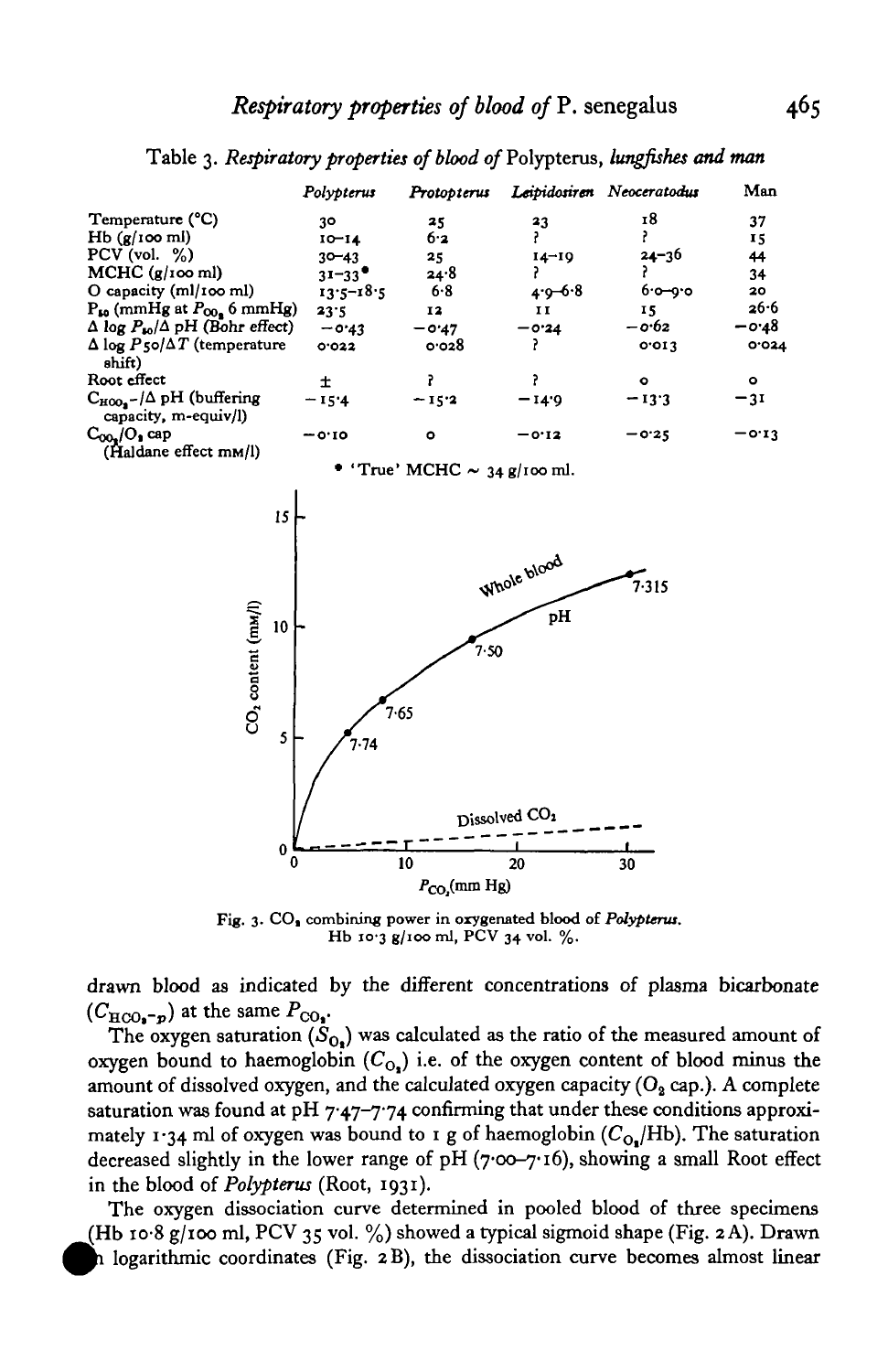|                                                               | Polypterus    | Protopterus |             | Leipidosiren Neoceratodus | Man     |
|---------------------------------------------------------------|---------------|-------------|-------------|---------------------------|---------|
| Temperature (°C)                                              | 30            | 25          | 23          | 18                        | 37      |
| Hb(g/100 ml)                                                  | $10 - 14$     | 6.2         |             |                           | 15      |
| $PCV$ (vol. $\%$ )                                            | $30 - 43$     | 25          | $14 - 19$   | $24 - 36$                 | 44      |
| MCHC (g/100 ml)                                               | $31 - 33$     | 24.8        |             |                           | 34      |
| O capacity (ml/100 ml)                                        | $13.5 - 18.5$ | 6.8         | $4.9 - 6.8$ | $6.0 - 0.0$               | 20      |
| $P_{50}$ (mmHg at $P_{00}$ 6 mmHg)                            | 23.5          | 12          | 11          | 15                        | 26.6    |
| $\Delta$ log $P_{10}/\Delta$ pH (Bohr effect)                 | $-0.43$       | $-0.47$     | $-0.24$     | $-0.62$                   | $-0.48$ |
| $\Delta$ log $P$ 50/ $\Delta T$ (temperature<br>shift)        | 0.022         | 0.028       |             | 0.013                     | 0.024   |
| Root effect                                                   | 士             |             |             | $\bullet$                 | $\circ$ |
| $C_{HOO_2}$ -/ $\Delta$ pH (buffering<br>capacity, m-equiv/l) | $-15.4$       | $-15.2$     | $-14.9$     | $-13.3$                   | $-31$   |
| $COOn/On$ cap<br>(Haldane effect mm/l)                        | $-0.10$       | ۰           | $-0.12$     | $-0.25$                   | $-0.13$ |

Table 3. *Respiratory properties of blood of* Polypterus, *lungfishes and man*

True' MCHC  $\sim$  34 g/100 ml.



**Fig. 3. CO, combining power in oxygenated blood of** *Polypterui.* **Hb 10-3 g/100 ml, PCV 34 vol. %.**

drawn blood as indicated by the different concentrations of plasma bicarbonate  $(C_{\text{HCO}_{\bullet}-p})$  at the same  $P_{\text{CO}_{\bullet}}$ 

The oxygen saturation  $(S_0)$  was calculated as the ratio of the measured amount of oxygen bound to haemoglobin  $(C_0)$  i.e. of the oxygen content of blood minus the amount of dissolved oxygen, and the calculated oxygen capacity ( $O<sub>2</sub>$  cap.). A complete saturation was found at pH  $7.47-7.74$  confirming that under these conditions approximately 1.34 ml of oxygen was bound to 1 g of haemoglobin  $(C_{Q_0}/Hb)$ . The saturation decreased slightly in the lower range of  $pH (700 - 716)$ , showing a small Root effect in the blood of *Polypterus* (Root, 1931).

The oxygen dissociation curve determined in pooled blood of three specimens (Hb 10.8 g/100 ml, PCV 35 vol.  $\%$ ) showed a typical sigmoid shape (Fig. 2A). Drawn *m\* logarithmic coordinates (Fig. 2B), the dissociation curve becomes almost linear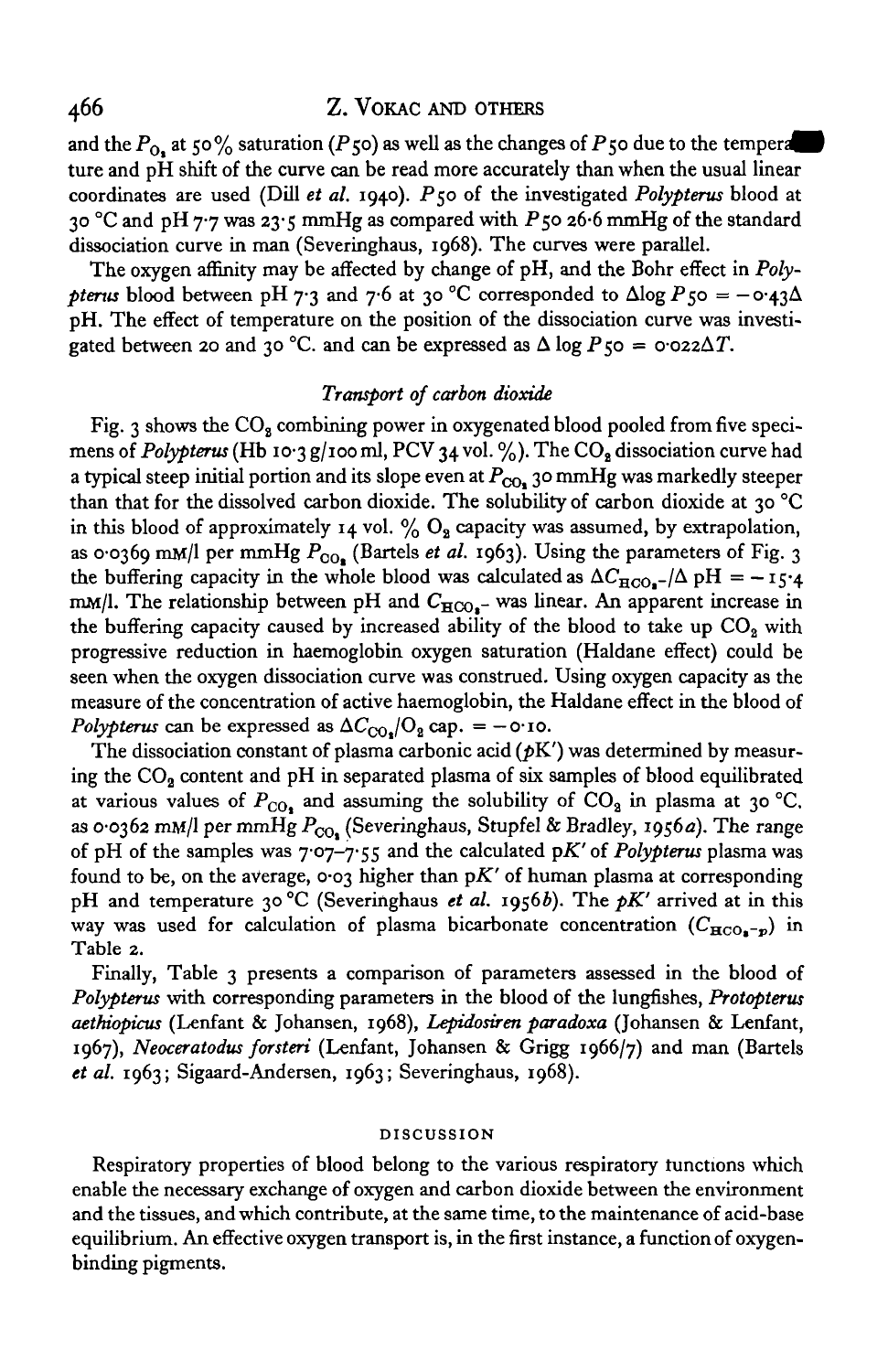# 466 Z. VOKAC AND OTHERS

and the  $P_{0}$ , at 50% saturation (P50) as well as the changes of P50 due to the temperature ture and pH shift of the curve can be read more accurately than when the usual linear coordinates are used (Dill *et al.* 1940). P50 of the investigated *Polypterus* blood at 30 °C and pH 7.7 was 23.5 mmHg as compared with P 50 26.6 mmHg of the standard dissociation curve in man (Severinghaus, 1968). The curves were parallel.

The oxygen affinity may be affected by change of pH, and the Bohr effect in *Polypterus* blood between pH 7.3 and 7.6 at 30 °C corresponded to  $\Delta$ log P<sub>50</sub> =  $-\text{o}$ -43 $\Delta$ pH. The effect of temperature on the position of the dissociation curve was investigated between 20 and 30 °C. and can be expressed as  $\Delta \log P$ 50 = 0.022 $\Delta T$ .

### *Transport of carbon dioxide*

Fig. 3 shows the  $CO<sub>8</sub>$  combining power in oxygenated blood pooled from five specimens of *Polypterus* (Hb 10.3 g/100 ml, PCV 34 vol. %). The CO<sub>2</sub> dissociation curve had a typical steep initial portion and its slope even at  $P_{\text{CO}_2}$  30 mmHg was markedly steeper than that for the dissolved carbon dioxide. The solubility of carbon dioxide at 30 °C in this blood of approximately 14 vol.  $\%$  O<sub>2</sub> capacity was assumed, by extrapolation, as 0.0369 mM/l per mmHg  $P_{CO_8}$  (Bartels *et al.* 1963). Using the parameters of Fig. 3 the buffering capacity in the whole blood was calculated as  $\Delta C_{\text{HCO}_2}$ -/ $\Delta$  pH = -15.4 mM/l. The relationship between pH and  $C_{\text{HCO}_{\text{A}}-}$  was linear. An apparent increase in the buffering capacity caused by increased ability of the blood to take up  $CO<sub>2</sub>$  with progressive reduction in haemoglobin oxygen saturation (Haldane effect) could be seen when the oxygen dissociation curve was construed. Using oxygen capacity as the measure of the concentration of active haemoglobin, the Haldane effect in the blood of *Polypterus* can be expressed as  $\Delta C_{\text{CO}_2}/\text{O}_2$  cap. =  $-$  o·10.

The dissociation constant of plasma carbonic acid  $(pK')$  was determined by measuring the  $CO<sub>2</sub>$  content and pH in separated plasma of six samples of blood equilibrated at various values of  $P_{CO_2}$  and assuming the solubility of  $CO_2$  in plasma at 30 °C. as 0.0362 mM/l per mmHg  $P_{CO_2}$  (Severinghaus, Stupfel & Bradley, 1956a). The range of pH of the samples was 7-07-7-55 and the calculated *pK'* of *Polypterus* plasma was found to be, on the average,  $\cos \theta$  higher than  $pK'$  of human plasma at corresponding pH and temperature 30 °C (Severinghaus *et al.* 1956b). The pK' arrived at in this way was used for calculation of plasma bicarbonate concentration  $(C_{\text{HCO}_{\bullet}-p})$  in Table 2.

Finally, Table 3 presents a comparison of parameters assessed in the blood of *Polypterus* with corresponding parameters in the blood of the lungfishes, *Protopterus aethiopicus* (Lenfant & Johansen, 1968), *Lepidosiren paradoxa* (Johansen & Lenfant, 1967), *Neoceratodus forsteri* (Lenfant, Johansen & Grigg 1966/7) and man (Bartels *et al.* 1963; Sigaard-Andersen, 1963; Severinghaus, 1968).

### **DISCUSSION**

Respiratory properties of blood belong to the various respiratory functions which enable the necessary exchange of oxygen and carbon dioxide between the environment and the tissues, and which contribute, at the same time, to the maintenance of acid-base equilibrium. An effective oxygen transport is, in the first instance, a function of oxygenbinding pigments.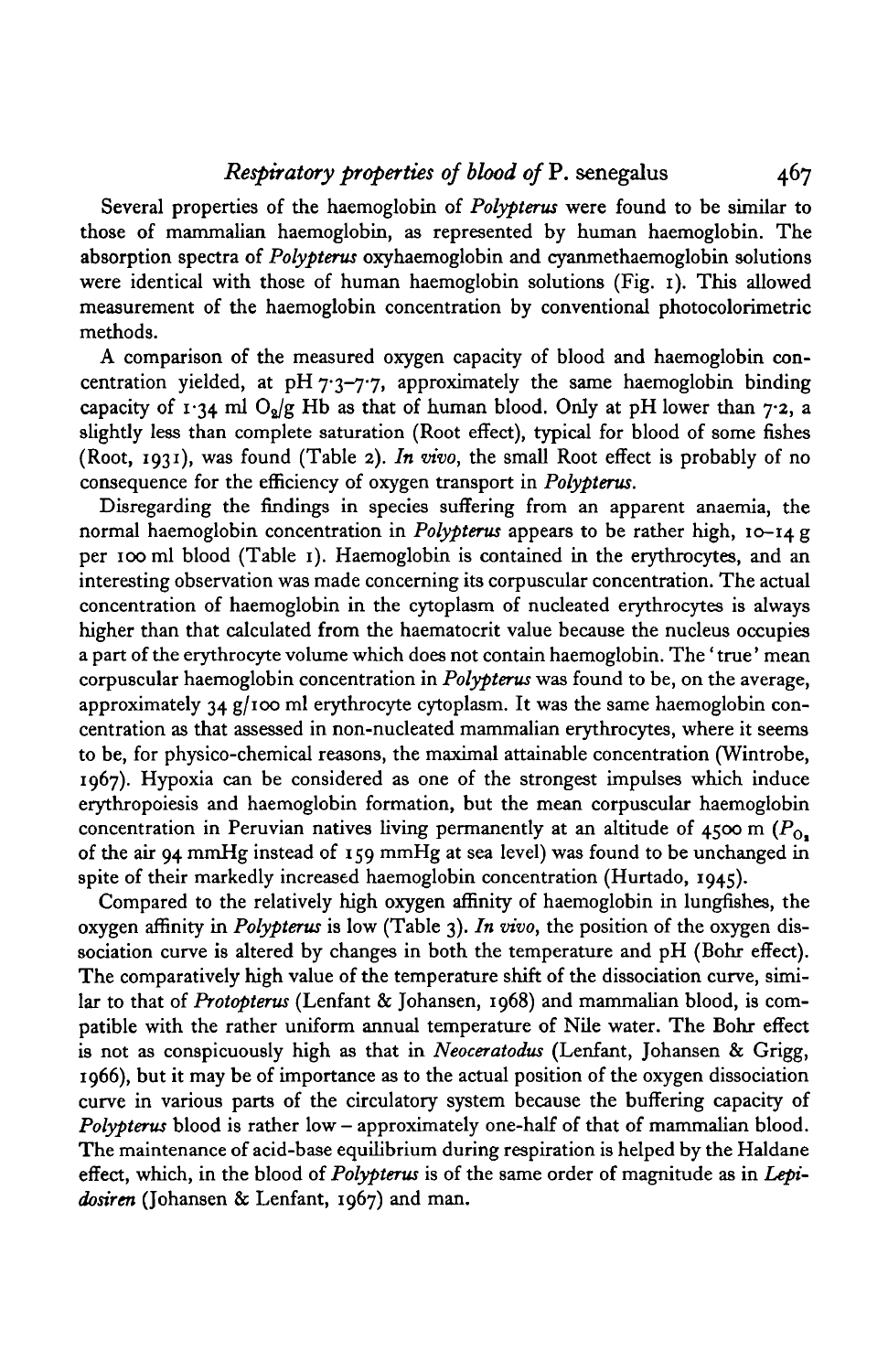# *Respiratory properties of blood of* P. senegalus 467

Several properties of the haemoglobin of *Polypterus* were found to be similar to those of mammalian haemoglobin, as represented by human haemoglobin. The absorption spectra of *Polypterus* oxyhaemoglobin and cyanmethaemoglobin solutions were identical with those of human haemoglobin solutions (Fig. 1). This allowed measurement of the haemoglobin concentration by conventional photocolorimetric methods.

A comparison of the measured oxygen capacity of blood and haemoglobin concentration yielded, at pH 7.3-7.7, approximately the same haemoglobin binding capacity of 1.34 ml  $O_9/g$  Hb as that of human blood. Only at pH lower than 7.2, a slightly less than complete saturation (Root effect), typical for blood of some fishes (Root, 1931), was found (Table 2). *In vivo,* the small Root effect is probably of no consequence for the efficiency of oxygen transport in *Polypterus.*

Disregarding the findings in species suffering from an apparent anaemia, the normal haemoglobin concentration in *Polypterus* appears to be rather high, 10-14 g per 100 ml blood (Table 1). Haemoglobin is contained in the erythrocytes, and an interesting observation was made concerning its corpuscular concentration. The actual concentration of haemoglobin in the cytoplasm of nucleated erythrocytes is always higher than that calculated from the haematocrit value because the nucleus occupies a part of the erythrocyte volume which does not contain haemoglobin. The' true' mean corpuscular haemoglobin concentration in *Polypterus* was found to be, on the average, approximately 34  $g/100$  ml erythrocyte cytoplasm. It was the same haemoglobin concentration as that assessed in non-nucleated mammalian erythrocytes, where it seems to be, for physico-chemical reasons, the maximal attainable concentration (Wintrobe, 1967). Hypoxia can be considered as one of the strongest impulses which induce erythropoiesis and haemoglobin formation, but the mean corpuscular haemoglobin concentration in Peruvian natives living permanently at an altitude of  $4500 \text{ m}$  ( $P_{\Omega}$ ) of the air 94 mmHg instead of 159 mmHg at sea level) was found to be unchanged in spite of their markedly increased haemoglobin concentration (Hurtado, 1945).

Compared to the relatively high oxygen affinity of haemoglobin in lungfishes, the oxygen affinity in *Polypterus* is low (Table 3). *In vivo,* the position of the oxygen dissociation curve is altered by changes in both the temperature and pH (Bohr effect). The comparatively high value of the temperature shift of the dissociation curve, similar to that of *Protopterus* (Lenfant & Johansen, 1968) and mammalian blood, is compatible with the rather uniform annual temperature of Nile water. The Bohr effect is not as conspicuously high as that in *Neoceratodus* (Lenfant, Johansen & Grigg, 1966), but it may be of importance as to the actual position of the oxygen dissociation curve in various parts of the circulatory system because the buffering capacity of *Polypterus* blood is rather low — approximately one-half of that of mammalian blood. The maintenance of acid-base equilibrium during respiration is helped by the Haldane effect, which, in the blood of *Polypterus* is of the same order of magnitude as in *Lepidosiren* (Johansen & Lenfant, 1967) and man.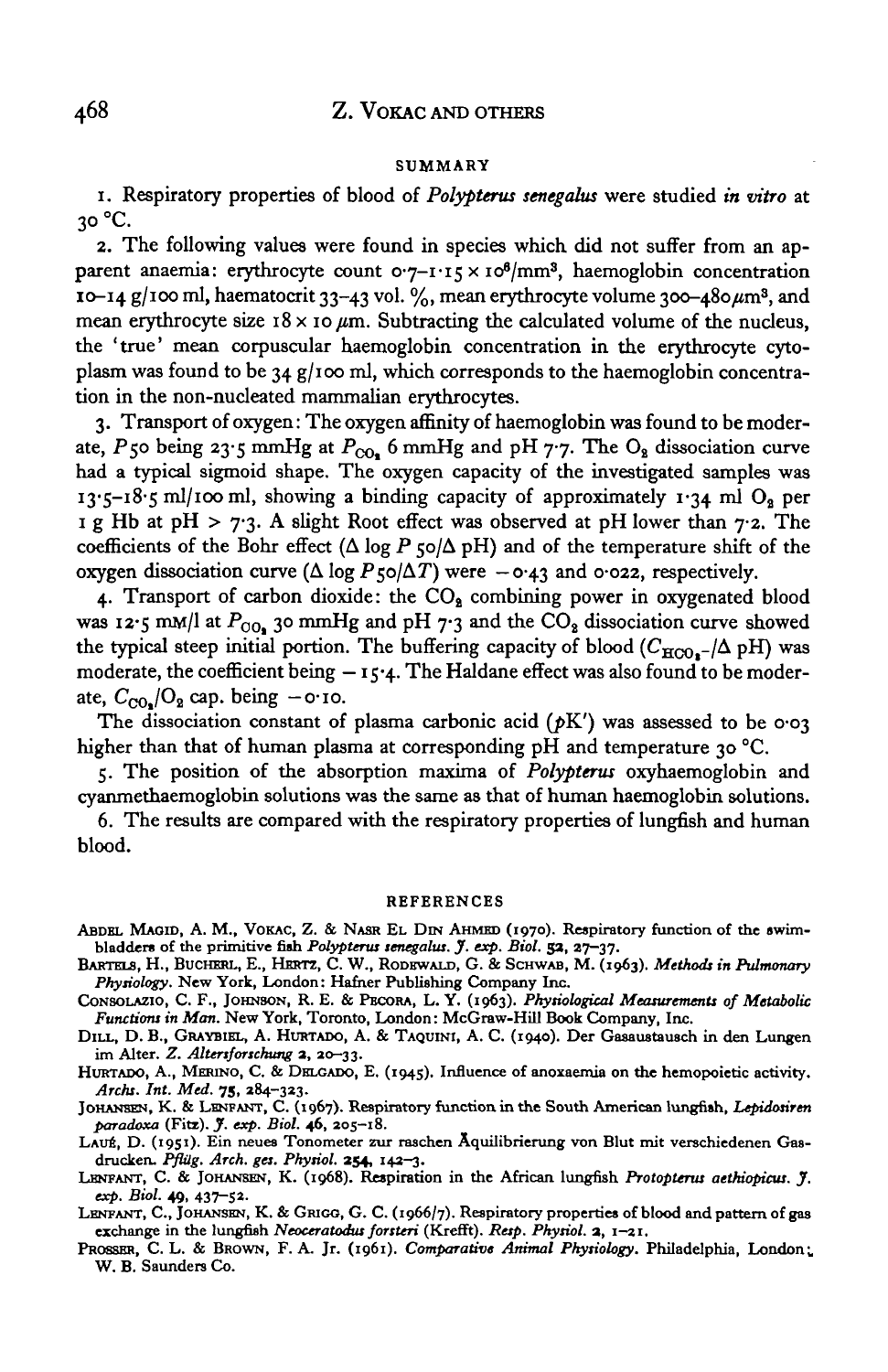#### SUMMARY

1. Respiratory properties of blood of *Polypterus senegalus* were studied *in vitro* at 30 °C.

2. The following values were found in species which did not suffer from an apparent anaemia: erythrocyte count o.7-1.15 x 10<sup>6</sup>/mm<sup>3</sup>, haemoglobin concentration  $10$ -14 g/100 ml, haematocrit 33-43 vol. %, mean erythrocyte volume 300-480  $\mu$ m<sup>3</sup>, and mean erythrocyte size  $18 \times 10 \mu m$ . Subtracting the calculated volume of the nucleus, the 'true' mean corpuscular haemoglobin concentration in the erythrocyte cytoplasm was found to be 34 g/100 ml, which corresponds to the haemoglobin concentration in the non-nucleated mammalian erythrocytes.

3. Transport of oxygen: The oxygen affinity of haemoglobin was found to be moderate, P50 being 23.5 mmHg at  $P_{CO_2}$  6 mmHg and pH 7.7. The  $O_2$  dissociation curve had a typical sigmoid shape. The oxygen capacity of the investigated samples was 13.5–18.5 ml/100 ml, showing a binding capacity of approximately 1.34 ml  $O_2$  per 1 g Hb at pH >  $7.3$ . A slight Root effect was observed at pH lower than  $7.2$ . The coefficients of the Bohr effect ( $\Delta$  log P  $\zeta$ o/ $\Delta$  pH) and of the temperature shift of the oxygen dissociation curve ( $\Delta \log P_5$ 0/ $\Delta T$ ) were  $-$  0.43 and 0.022, respectively.

4. Transport of carbon dioxide: the  $CO<sub>2</sub>$  combining power in oxygenated blood was 12.5 mM/l at  $P_{\text{OO}_2}$  30 mmHg and pH 7.3 and the CO<sub>2</sub> dissociation curve showed the typical steep initial portion. The buffering capacity of blood  $(C_{\text{HCO}_{2}}/\Delta \text{ pH})$  was moderate, the coefficient being  $-$  15.4. The Haldane effect was also found to be moderate,  $C_{\text{CO}_2}/O_2$  cap. being  $-\text{o-io}$ .

The dissociation constant of plasma carbonic acid ( $pK'$ ) was assessed to be 0.03 higher than that of human plasma at corresponding pH and temperature 30 °C.

5. The position of the absorption maxima of *Polypterus* oxyhaemoglobin and cyanmethaemoglobin solutions was the same as that of human haemoglobin solutions.

6. The results are compared with the respiratory properties of lungfish and human blood.

#### REFERENCES

- ABDEL MAGID, A. M., VOKAC, Z. & NASR EL DIN AHMED (1970). Respiratory function of the swim-<br>bladders of the primitive fish Polypterus senegalus. J. exp. Biol. 32, 27-37.
- bladders of the primitive fish *Polypterus senegalus. J. exp. Biol.* 53, 27-37. BARTELS, H., BUCHERL, E., HERTZ, C. W., RODEWALD, G. & SCHWAB, M. (1963). *Methods in Pulmonary Physiology.* New York, London: Hafner Publishing Company Inc. CoNSOLAZio, C. F., JOHNSON, R. E. & PBCORA, L. Y. (1963). *Physiological Measurements of Metabolic*
- *Functions in Man.* New York, Toronto, London: McGraw-Hill Book Company, Inc. DILL, D. B., GRAYBIEL, A. HURTADO, A. & TAQUINI, A. C. (1940). Der Gasaustausch in den Lungen

im Alter. Z. Altersforschung 2, 20-33.<br>HURTADO, A., MERINO, C. & DELGADO, E. (1945). Influence of anoxaemia on the hemopoietic activity.<br>*Archs. Int. Med.* 75, 284-323.

JOHANSEN, K. & LENFANT, C. (1967). Respiratory function in the South American lungfish, Lepidosiren paradoxa (Fitz). *J. exp. Biol.* 46, 205-18.

LAUÉ, D. (1951). Ein neues Tonometer zur raschen Aquilibrierung von Blut mit verschiedenen Gas-<br>drucken. Pflüg. Arch. ges. Physiol. 254, 142-3.<br>LENFANT, C. & JOHANSEN, K. (1968). Respiration in the African lungfish Protopt

*exp. Biol.* 49, 437-52. LENFANT, C, JOHANSEN, K. & GRIGO, G. C. (1966/7). Respiratory properties of blood and pattern of gas

exchange in the lungfish *Neoceratodus forsteri* (Krefft). *Resp. Physiol.* a, 1-21. PROSSER, C. L. & BROWN, F. A. Jr. (1961). *Comparative Animal Physiology.* Philadelphia, London;.

W. B. Saunders Co.